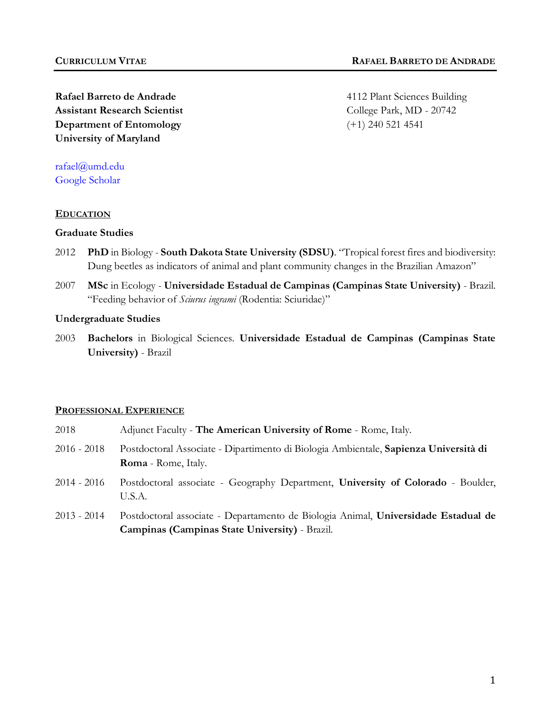**Rafael Barreto de Andrade** 4112 Plant Sciences Building Assistant Research Scientist **College Park, MD** - 20742 **Department of Entomology** (+1) 240 521 4541 **University of Maryland**

[rafael@umd.edu](mailto:rafael@umd.edu) [Google Scholar](http://scholar.google.com.br/citations?user=bM-3emQAAAAJ)

### **EDUCATION**

### **Graduate Studies**

- 2012 **PhD** in Biology **South Dakota State University (SDSU)**. "Tropical forest fires and biodiversity: Dung beetles as indicators of animal and plant community changes in the Brazilian Amazon"
- 2007 **MSc** in Ecology **Universidade Estadual de Campinas (Campinas State University)** Brazil. "Feeding behavior of *Sciurus ingrami* (Rodentia: Sciuridae)"

### **Undergraduate Studies**

2003 **Bachelors** in Biological Sciences. **Universidade Estadual de Campinas (Campinas State University)** - Brazil

#### **PROFESSIONAL EXPERIENCE**

| 2018        | Adjunct Faculty - The American University of Rome - Rome, Italy.                                                                     |
|-------------|--------------------------------------------------------------------------------------------------------------------------------------|
| 2016 - 2018 | Postdoctoral Associate - Dipartimento di Biologia Ambientale, Sapienza Università di<br><b>Roma</b> - Rome, Italy.                   |
| 2014 - 2016 | Postdoctoral associate - Geography Department, University of Colorado - Boulder,<br>U.S.A.                                           |
| 2013 - 2014 | Postdoctoral associate - Departamento de Biologia Animal, Universidade Estadual de<br>Campinas (Campinas State University) - Brazil. |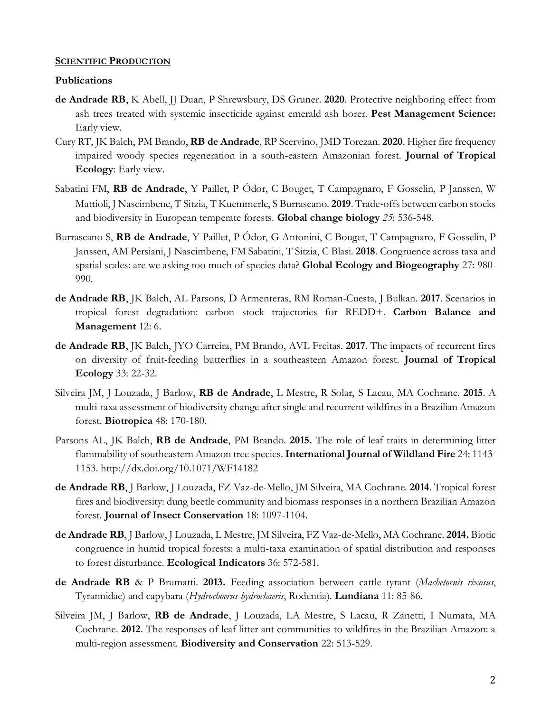#### **SCIENTIFIC PRODUCTION**

### **Publications**

- **de Andrade RB**, K Abell, JJ Duan, P Shrewsbury, DS Gruner. **2020**. Protective neighboring effect from ash trees treated with systemic insecticide against emerald ash borer. **Pest Management Science:**  Early view.
- Cury RT, JK Balch, PM Brando, **RB de Andrade**, RP Scervino, JMD Torezan. **2020**. Higher fire frequency impaired woody species regeneration in a south-eastern Amazonian forest. **Journal of Tropical Ecology**: Early view.
- Sabatini FM, **RB de Andrade**, Y Paillet, P Ódor, C Bouget, T Campagnaro, F Gosselin, P Janssen, W Mattioli, J Nascimbene, T Sitzia, T Kuemmerle, S Burrascano. **2019**. Trade‐offs between carbon stocks and biodiversity in European temperate forests. **Global change biology** *25*: 536-548.
- Burrascano S, **RB de Andrade**, Y Paillet, P Ódor, G Antonini, C Bouget, T Campagnaro, F Gosselin, P Janssen, AM Persiani, J Nascimbene, FM Sabatini, T Sitzia, C Blasi. **2018**. Congruence across taxa and spatial scales: are we asking too much of species data? **Global Ecology and Biogeography** 27: 980- 990.
- **de Andrade RB**, JK Balch, AL Parsons, D Armenteras, RM Roman-Cuesta, J Bulkan. **2017**. Scenarios in tropical forest degradation: carbon stock trajectories for REDD+. **Carbon Balance and Management** 12: 6.
- **de Andrade RB**, JK Balch, JYO Carreira, PM Brando, AVL Freitas. **2017**. The impacts of recurrent fires on diversity of fruit-feeding butterflies in a southeastern Amazon forest. **Journal of Tropical Ecology** 33: 22-32.
- Silveira JM, J Louzada, J Barlow, **RB de Andrade**, L Mestre, R Solar, S Lacau, MA Cochrane. **2015**. A multi-taxa assessment of biodiversity change after single and recurrent wildfires in a Brazilian Amazon forest. **Biotropica** 48: 170-180.
- Parsons AL, JK Balch, **RB de Andrade**, PM Brando. **2015.** The role of leaf traits in determining litter flammability of southeastern Amazon tree species. **International Journal of Wildland Fire** 24: 1143- 1153. http://dx.doi.org/10.1071/WF14182
- **de Andrade RB**, J Barlow, J Louzada, FZ Vaz-de-Mello, JM Silveira, MA Cochrane. **2014**. Tropical forest fires and biodiversity: dung beetle community and biomass responses in a northern Brazilian Amazon forest. **Journal of Insect Conservation** 18: 1097-1104.
- **de Andrade RB**, J Barlow, J Louzada, L Mestre, JM Silveira, FZ Vaz-de-Mello, MA Cochrane. **2014.** Biotic congruence in humid tropical forests: a multi-taxa examination of spatial distribution and responses to forest disturbance. **Ecological Indicators** 36: 572-581.
- **de Andrade RB** & P Brumatti. **2013.** Feeding association between cattle tyrant (*Machetornis rixosus*, Tyrannidae) and capybara (*Hydrochoerus hydrochaeris*, Rodentia). **Lundiana** 11: 85-86.
- Silveira JM, J Barlow, **RB de Andrade**, J Louzada, LA Mestre, S Lacau, R Zanetti, I Numata, MA Cochrane. **2012**. The responses of leaf litter ant communities to wildfires in the Brazilian Amazon: a multi-region assessment. **Biodiversity and Conservation** 22: 513-529.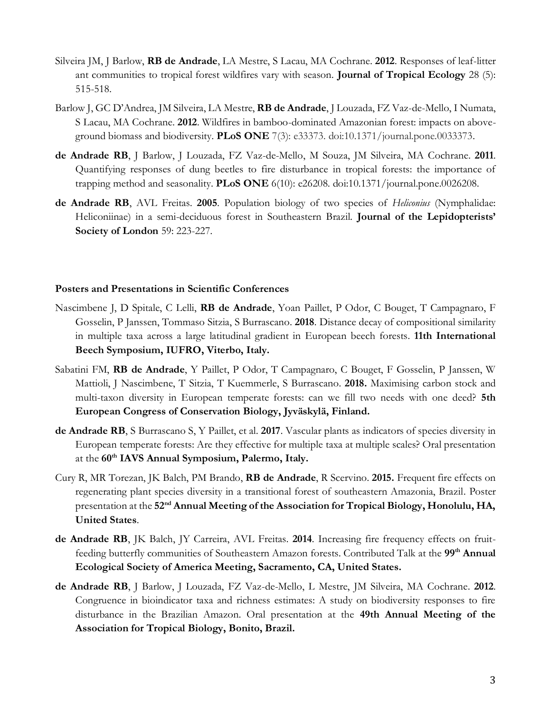- Silveira JM, J Barlow, **RB de Andrade**, LA Mestre, S Lacau, MA Cochrane. **2012**. Responses of leaf-litter ant communities to tropical forest wildfires vary with season. **Journal of Tropical Ecology** 28 (5): 515-518.
- Barlow J, GC D'Andrea, JM Silveira, LA Mestre, **RB de Andrade**, J Louzada, FZ Vaz-de-Mello, I Numata, S Lacau, MA Cochrane. **2012**. Wildfires in bamboo-dominated Amazonian forest: impacts on aboveground biomass and biodiversity. **PLoS ONE** 7(3): e33373. doi:10.1371/journal.pone.0033373.
- **de Andrade RB**, J Barlow, J Louzada, FZ Vaz-de-Mello, M Souza, JM Silveira, MA Cochrane. **2011**. Quantifying responses of dung beetles to fire disturbance in tropical forests: the importance of trapping method and seasonality. **PLoS ONE** 6(10): e26208. doi:10.1371/journal.pone.0026208.
- **de Andrade RB**, AVL Freitas. **2005**. Population biology of two species of *Heliconius* (Nymphalidae: Heliconiinae) in a semi-deciduous forest in Southeastern Brazil. **Journal of the Lepidopterists' Society of London** 59: 223-227.

## **Posters and Presentations in Scientific Conferences**

- Nascimbene J, D Spitale, C Lelli, **RB de Andrade**, Yoan Paillet, P Odor, C Bouget, T Campagnaro, F Gosselin, P Janssen, Tommaso Sitzia, S Burrascano. **2018**. Distance decay of compositional similarity in multiple taxa across a large latitudinal gradient in European beech forests. **11th International Beech Symposium, IUFRO, Viterbo, Italy.**
- Sabatini FM, **RB de Andrade**, Y Paillet, P Odor, T Campagnaro, C Bouget, F Gosselin, P Janssen, W Mattioli, J Nascimbene, T Sitzia, T Kuemmerle, S Burrascano. **2018.** Maximising carbon stock and multi-taxon diversity in European temperate forests: can we fill two needs with one deed? **5th European Congress of Conservation Biology, Jyväskylä, Finland.**
- **de Andrade RB**, S Burrascano S, Y Paillet, et al. **2017**. Vascular plants as indicators of species diversity in European temperate forests: Are they effective for multiple taxa at multiple scales? Oral presentation at the **60th IAVS Annual Symposium, Palermo, Italy.**
- Cury R, MR Torezan, JK Balch, PM Brando, **RB de Andrade**, R Scervino. **2015.** Frequent fire effects on regenerating plant species diversity in a transitional forest of southeastern Amazonia, Brazil. Poster presentation at the **52nd Annual Meeting of the Association for Tropical Biology, Honolulu, HA, United States**.
- **de Andrade RB**, JK Balch, JY Carreira, AVL Freitas. **2014**. Increasing fire frequency effects on fruitfeeding butterfly communities of Southeastern Amazon forests. Contributed Talk at the **99th Annual Ecological Society of America Meeting, Sacramento, CA, United States.**
- **de Andrade RB**, J Barlow, J Louzada, FZ Vaz-de-Mello, L Mestre, JM Silveira, MA Cochrane. **2012**. Congruence in bioindicator taxa and richness estimates: A study on biodiversity responses to fire disturbance in the Brazilian Amazon. Oral presentation at the **49th Annual Meeting of the Association for Tropical Biology, Bonito, Brazil.**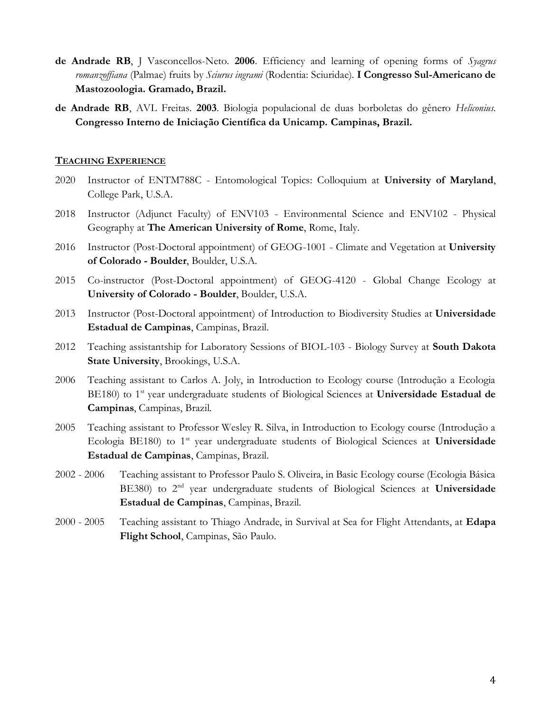- **de Andrade RB**, J Vasconcellos-Neto. **2006**. Efficiency and learning of opening forms of *Syagrus romanzoffiana* (Palmae) fruits by *Sciurus ingrami* (Rodentia: Sciuridae). **I Congresso Sul-Americano de Mastozoologia. Gramado, Brazil.**
- **de Andrade RB**, AVL Freitas. **2003**. Biologia populacional de duas borboletas do gênero *Heliconius*. **Congresso Interno de Iniciação Científica da Unicamp. Campinas, Brazil.**

### **TEACHING EXPERIENCE**

- 2020 Instructor of ENTM788C Entomological Topics: Colloquium at **University of Maryland**, College Park, U.S.A.
- 2018 Instructor (Adjunct Faculty) of ENV103 Environmental Science and ENV102 Physical Geography at **The American University of Rome**, Rome, Italy.
- 2016 Instructor (Post-Doctoral appointment) of GEOG-1001 Climate and Vegetation at **University of Colorado - Boulder**, Boulder, U.S.A.
- 2015 Co-instructor (Post-Doctoral appointment) of GEOG-4120 Global Change Ecology at **University of Colorado - Boulder**, Boulder, U.S.A.
- 2013 Instructor (Post-Doctoral appointment) of Introduction to Biodiversity Studies at **Universidade Estadual de Campinas**, Campinas, Brazil.
- 2012 Teaching assistantship for Laboratory Sessions of BIOL-103 Biology Survey at **South Dakota State University**, Brookings, U.S.A.
- 2006 Teaching assistant to Carlos A. Joly, in Introduction to Ecology course (Introdução a Ecologia BE180) to 1<sup>st</sup> year undergraduate students of Biological Sciences at **Universidade Estadual de Campinas**, Campinas, Brazil.
- 2005 Teaching assistant to Professor Wesley R. Silva, in Introduction to Ecology course (Introdução a Ecologia BE180) to 1<sup>st</sup> year undergraduate students of Biological Sciences at **Universidade Estadual de Campinas**, Campinas, Brazil.
- 2002 2006 Teaching assistant to Professor Paulo S. Oliveira, in Basic Ecology course (Ecologia Básica BE380) to 2nd year undergraduate students of Biological Sciences at **Universidade Estadual de Campinas**, Campinas, Brazil.
- 2000 2005 Teaching assistant to Thiago Andrade, in Survival at Sea for Flight Attendants, at **Edapa Flight School**, Campinas, São Paulo.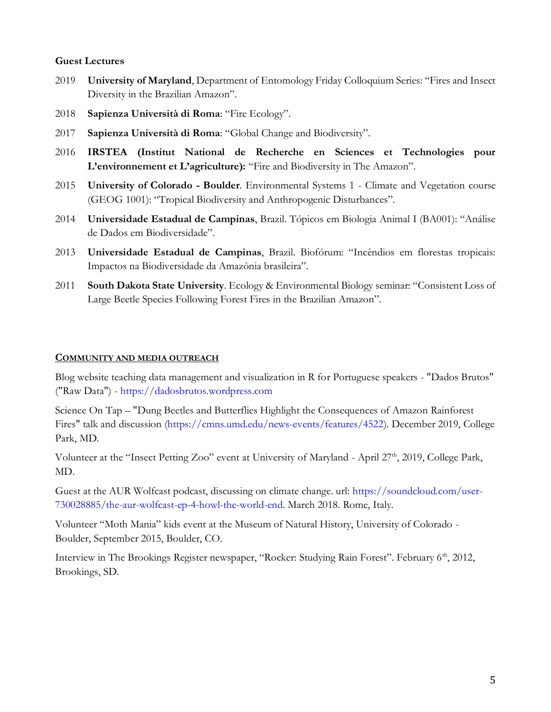# **Guest Lectures**

- 2019 **University of Maryland**, Department of Entomology Friday Colloquium Series: "Fires and Insect Diversity in the Brazilian Amazon".
- 2018 **Sapienza Università di Roma**: "Fire Ecology".
- 2017 **Sapienza Università di Roma**: "Global Change and Biodiversity".
- 2016 **IRSTEA (Institut National de Recherche en Sciences et Technologies pour L'environnement et L'agriculture):** "Fire and Biodiversity in The Amazon".
- 2015 **University of Colorado - Boulder**. Environmental Systems 1 Climate and Vegetation course (GEOG 1001): "Tropical Biodiversity and Anthropogenic Disturbances".
- 2014 **Universidade Estadual de Campinas**, Brazil. Tópicos em Biologia Animal I (BA001): "Análise de Dados em Biodiversidade".
- 2013 **Universidade Estadual de Campinas**, Brazil. Biofórum: "Incêndios em florestas tropicais: Impactos na Biodiversidade da Amazônia brasileira".
- 2011 **South Dakota State University**. Ecology & Environmental Biology seminar: "Consistent Loss of Large Beetle Species Following Forest Fires in the Brazilian Amazon".

### **COMMUNITY AND MEDIA OUTREACH**

Blog website teaching data management and visualization in R for Portuguese speakers - "Dados Brutos" ("Raw Data") - [https://dadosbrutos.wordpress.com](https://dadosbrutos.wordpress.com/)

Science On Tap – "Dung Beetles and Butterflies Highlight the Consequences of Amazon Rainforest Fires" talk and discussion [\(https://cmns.umd.edu/news-events/features/4522\)](https://cmns.umd.edu/news-events/features/4522). December 2019, College Park, MD.

Volunteer at the "Insect Petting Zoo" event at University of Maryland - April 27th, 2019, College Park, MD.

Guest at the AUR Wolfcast podcast, discussing on climate change. url: [https://soundcloud.com/user-](https://soundcloud.com/user-730028885/the-aur-wolfcast-ep-4-howl-the-world-end)[730028885/the-aur-wolfcast-ep-4-howl-the-world-end.](https://soundcloud.com/user-730028885/the-aur-wolfcast-ep-4-howl-the-world-end) March 2018. Rome, Italy.

Volunteer "Moth Mania" kids event at the Museum of Natural History, University of Colorado - Boulder, September 2015, Boulder, CO.

Interview in The Brookings Register newspaper, "Rocker: Studying Rain Forest". February 6<sup>th</sup>, 2012, Brookings, SD.